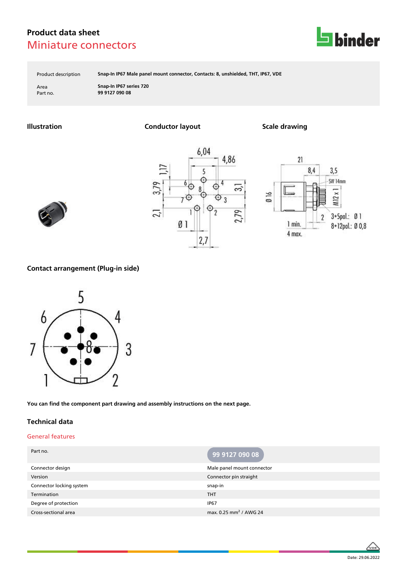

Product description **Snap-In IP67 Male panel mount connector, Contacts: 8, unshielded, THT, IP67, VDE**

Area **Snap-In IP67 series 720** Part no. **99 9127 090 08**

**Illustration Conductor layout Scale drawing**







### **Contact arrangement (Plug-in side)**



**You can find the component part drawing and assembly instructions on the next page.**

#### **Technical data**

#### General features

| Part no.                 | 99 9127 090 08                     |
|--------------------------|------------------------------------|
| Connector design         | Male panel mount connector         |
| Version                  | Connector pin straight             |
| Connector locking system | snap-in                            |
| Termination              | <b>THT</b>                         |
| Degree of protection     | <b>IP67</b>                        |
| Cross-sectional area     | max. 0.25 mm <sup>2</sup> / AWG 24 |

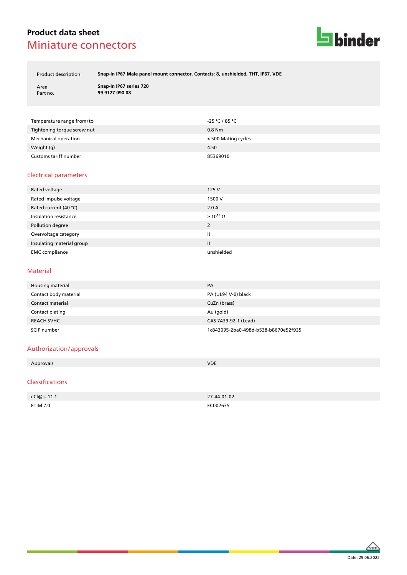

Product description **Snap-In IP67 Male panel mount connector, Contacts: 8, unshielded, THT, IP67, VDE**

| Area     |  |
|----------|--|
| Part no. |  |

**Snap-In IP67 series 720** Part no. **99 9127 090 08**

| Temperature range from/to   | -25 ℃ / 85 ℃        |
|-----------------------------|---------------------|
| Tightening torque screw nut | $0.8$ Nm            |
| Mechanical operation        | > 500 Mating cycles |
| Weight (g)                  | 4.50                |
| Customs tariff number       | 85369010            |

#### Electrical parameters

| Rated voltage             | 125 V                 |
|---------------------------|-----------------------|
| Rated impulse voltage     | 1500 V                |
| Rated current (40 °C)     | 2.0 A                 |
| Insulation resistance     | $\geq 10^{10} \Omega$ |
| Pollution degree          | 2                     |
| Overvoltage category      | Ш                     |
| Insulating material group | Ш                     |
| <b>EMC</b> compliance     | unshielded            |

#### Material

| Housing material      | PA                                   |
|-----------------------|--------------------------------------|
| Contact body material | PA (UL94 V-0) black                  |
| Contact material      | CuZn (brass)                         |
| Contact plating       | Au (gold)                            |
| <b>REACH SVHC</b>     | CAS 7439-92-1 (Lead)                 |
| SCIP number           | 1c843095-2ba0-498d-b538-b8670e52f935 |

#### Authorization/approvals

| Approvals | <b>VDE</b> |
|-----------|------------|
|           |            |
|           |            |

#### Classifications

| eCl@ss 11.1 | 27-44-01-02 |
|-------------|-------------|
| ETIM 7.0    | EC002635    |

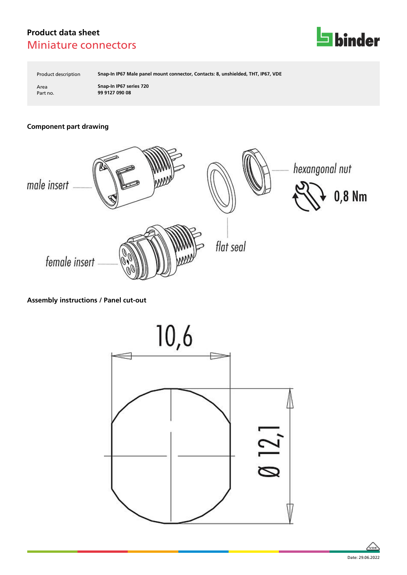

Product description **Snap-In IP67 Male panel mount connector, Contacts: 8, unshielded, THT, IP67, VDE**

Area **Snap-In IP67 series 720** Part no. **99 9127 090 08**

### **Component part drawing**



### **Assembly instructions / Panel cut-out**